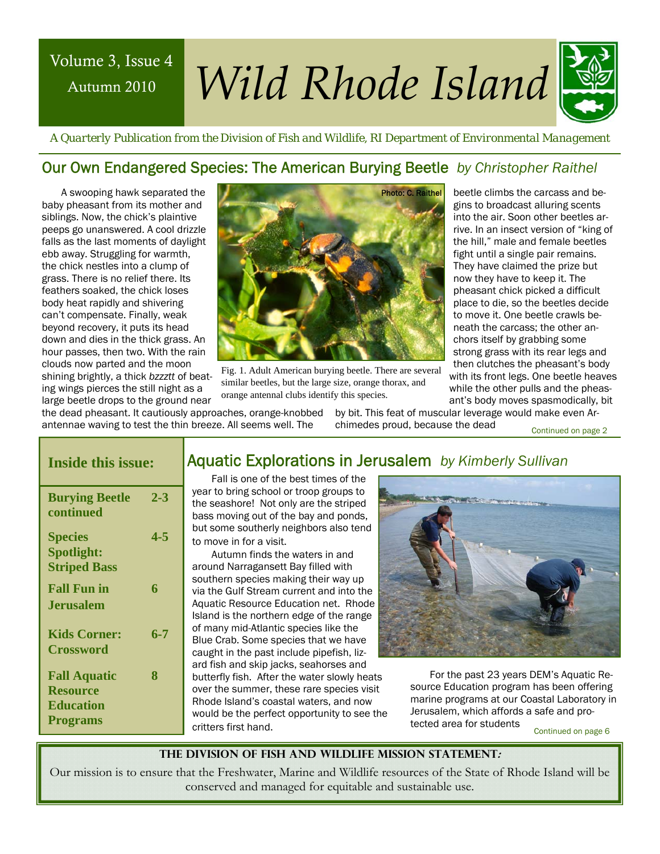## Autumn 2010

# Volume 3, Issue 4 *Wild Rhode Island*



beetle climbs the carcass and begins to broadcast alluring scents into the air. Soon other beetles arrive. In an insect version of "king of the hill," male and female beetles fight until a single pair remains. They have claimed the prize but now they have to keep it. The pheasant chick picked a difficult place to die, so the beetles decide to move it. One beetle crawls beneath the carcass; the other anchors itself by grabbing some strong grass with its rear legs and then clutches the pheasant's body with its front legs. One beetle heaves while the other pulls and the pheasant's body moves spasmodically, bit

 *A Quarterly Publication from the Division of Fish and Wildlife, RI Department of Environmental Management* 

#### Our Own Endangered Species: The American Burying Beetle *by Christopher Raithel*

A swooping hawk separated the baby pheasant from its mother and siblings. Now, the chick's plaintive peeps go unanswered. A cool drizzle falls as the last moments of daylight ebb away. Struggling for warmth, the chick nestles into a clump of grass. There is no relief there. Its feathers soaked, the chick loses body heat rapidly and shivering can't compensate. Finally, weak beyond recovery, it puts its head down and dies in the thick grass. An hour passes, then two. With the rain clouds now parted and the moon shining brightly, a thick *bzzztt* of beating wings pierces the still night as a large beetle drops to the ground near



Fig. 1. Adult American burying beetle. There are several similar beetles, but the large size, orange thorax, and orange antennal clubs identify this species.

the dead pheasant. It cautiously approaches, orange-knobbed antennae waving to test the thin breeze. All seems well. The

by bit. This feat of muscular leverage would make even Archimedes proud, because the dead Continued on page 2

#### **Inside this issue:**

| <b>Burying Beetle</b><br>continued                                            | $2 - 3$ |
|-------------------------------------------------------------------------------|---------|
| <b>Species</b><br><b>Spotlight:</b><br><b>Striped Bass</b>                    | 4-5     |
| <b>Fall Fun in</b><br>.Ierusalem                                              | 6       |
| <b>Kids Corner:</b><br><b>Crossword</b>                                       | 6-7     |
| <b>Fall Aquatic</b><br><b>Resource</b><br><b>Education</b><br><b>Programs</b> | 8       |

#### Aquatic Explorations in Jerusalem *by Kimberly Sullivan*

Fall is one of the best times of the year to bring school or troop groups to the seashore! Not only are the striped bass moving out of the bay and ponds, but some southerly neighbors also tend to move in for a visit.

Autumn finds the waters in and around Narragansett Bay filled with southern species making their way up via the Gulf Stream current and into the Aquatic Resource Education net. Rhode Island is the northern edge of the range of many mid-Atlantic species like the Blue Crab. Some species that we have caught in the past include pipefish, lizard fish and skip jacks, seahorses and over the summer, these rare species visit Rhode Island's coastal waters, and now would be the perfect opportunity to see the critters first hand.



8 butterfly fish. After the water slowly heats For the past 23 years DEM's Aquatic Resource Education program has been offering marine programs at our Coastal Laboratory in Jerusalem, which affords a safe and protected area for students

Continued on page 6

**The Division of Fish and Wildlife Mission Statement:** 

Our mission is to ensure that the Freshwater, Marine and Wildlife resources of the State of Rhode Island will be conserved and managed for equitable and sustainable use.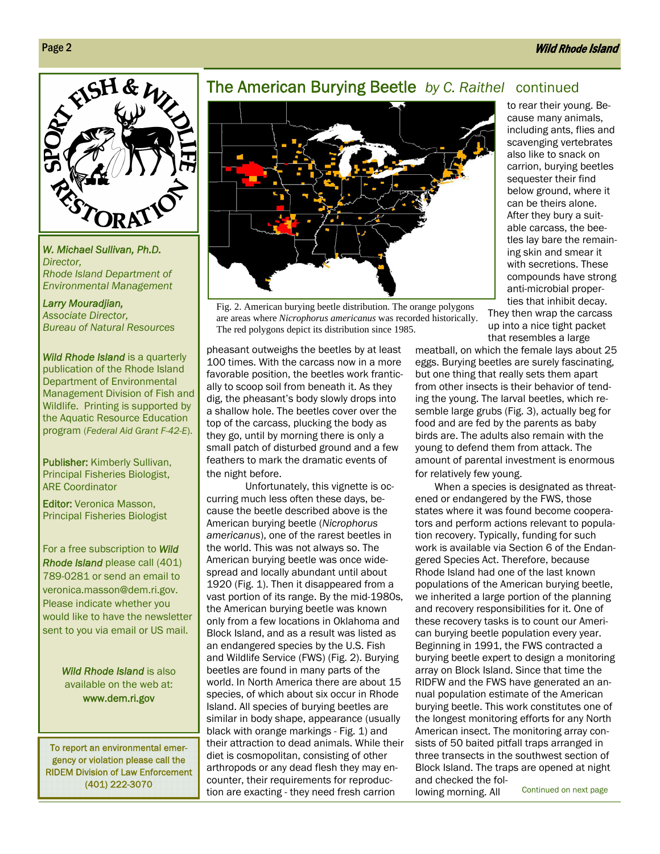

*W. Michael Sullivan, Ph.D. Director, Rhode Island Department of Environmental Management* 

*Larry Mouradjian, Associate Director, Bureau of Natural Resources* 

*Wild Rhode Island* is a quarterly publication of the Rhode Island Department of Environmental Management Division of Fish and Wildlife. Printing is supported by the Aquatic Resource Education program (*Federal Aid Grant F-42-E*).

alter the landscape, and Publisher: Kimberly Sullivan, Principal Fisheries Biologist, ARE Coordinator

Editor: Veronica Masson, Principal Fisheries Biologist

For a free subscription to *Wild Rhode Island* please call (401) 789-0281 or send an email to veronica.masson@dem.ri.gov. Please indicate whether you would like to have the newsletter sent to you via email or US mail.

> *Wild Rhode Island* is also available on the web at: www.dem.ri.gov

To report an environmental emergency or violation please call the RIDEM Division of Law Enforcement (401) 222-3070

#### The American Burying Beetle *by C. Raithel* continued



Fig. 2. American burying beetle distribution. The orange polygons are areas where *Nicrophorus americanus* was recorded historically. The red polygons depict its distribution since 1985.

pheasant outweighs the beetles by at least 100 times. With the carcass now in a more favorable position, the beetles work frantically to scoop soil from beneath it. As they dig, the pheasant's body slowly drops into a shallow hole. The beetles cover over the top of the carcass, plucking the body as they go, until by morning there is only a small patch of disturbed ground and a few feathers to mark the dramatic events of the night before.

 Unfortunately, this vignette is occurring much less often these days, because the beetle described above is the American burying beetle (*Nicrophorus americanus*), one of the rarest beetles in the world. This was not always so. The American burying beetle was once widespread and locally abundant until about 1920 (Fig. 1). Then it disappeared from a vast portion of its range. By the mid-1980s, the American burying beetle was known only from a few locations in Oklahoma and Block Island, and as a result was listed as an endangered species by the U.S. Fish and Wildlife Service (FWS) (Fig. 2). Burying beetles are found in many parts of the world. In North America there are about 15 species, of which about six occur in Rhode Island. All species of burying beetles are similar in body shape, appearance (usually black with orange markings - Fig. 1) and their attraction to dead animals. While their diet is cosmopolitan, consisting of other arthropods or any dead flesh they may encounter, their requirements for reproduction are exacting - they need fresh carrion

to rear their young. Because many animals, including ants, flies and scavenging vertebrates also like to snack on carrion, burying beetles sequester their find below ground, where it can be theirs alone. After they bury a suitable carcass, the beetles lay bare the remaining skin and smear it with secretions. These compounds have strong anti-microbial properties that inhibit decay.

They then wrap the carcass up into a nice tight packet that resembles a large

meatball, on which the female lays about 25 eggs. Burying beetles are surely fascinating, but one thing that really sets them apart from other insects is their behavior of tending the young. The larval beetles, which resemble large grubs (Fig. 3), actually beg for food and are fed by the parents as baby birds are. The adults also remain with the young to defend them from attack. The amount of parental investment is enormous for relatively few young.

When a species is designated as threatened or endangered by the FWS, those states where it was found become cooperators and perform actions relevant to population recovery. Typically, funding for such work is available via Section 6 of the Endangered Species Act. Therefore, because Rhode Island had one of the last known populations of the American burying beetle, we inherited a large portion of the planning and recovery responsibilities for it. One of these recovery tasks is to count our American burying beetle population every year. Beginning in 1991, the FWS contracted a burying beetle expert to design a monitoring array on Block Island. Since that time the RIDFW and the FWS have generated an annual population estimate of the American burying beetle. This work constitutes one of the longest monitoring efforts for any North American insect. The monitoring array consists of 50 baited pitfall traps arranged in three transects in the southwest section of Block Island. The traps are opened at night and checked the following morning. All

Page 2

Continued on next page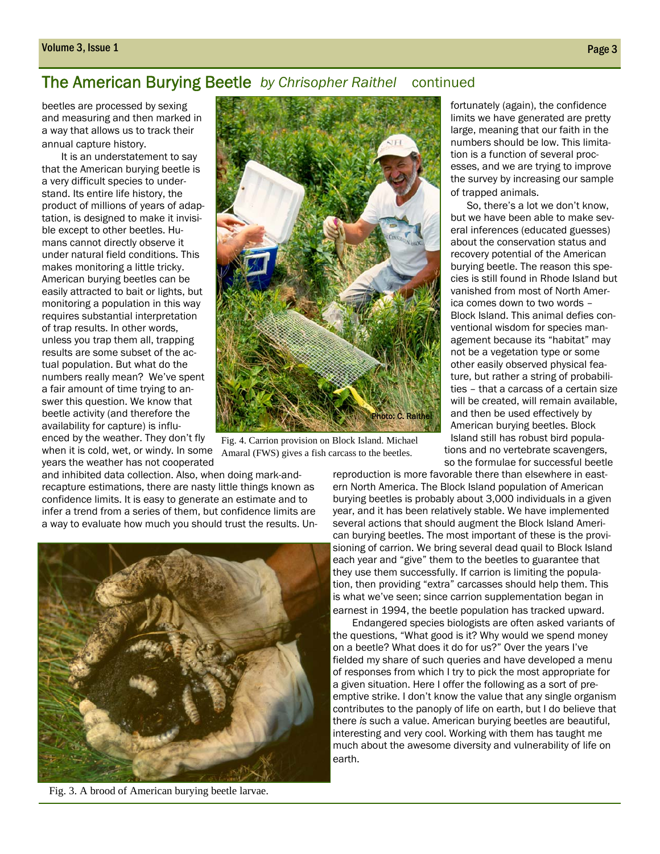#### The American Burying Beetle *by Chrisopher Raithel* continued

beetles are processed by sexing and measuring and then marked in a way that allows us to track their annual capture history.

It is an understatement to say that the American burying beetle is a very difficult species to understand. Its entire life history, the product of millions of years of adaptation, is designed to make it invisible except to other beetles. Humans cannot directly observe it under natural field conditions. This makes monitoring a little tricky. American burying beetles can be easily attracted to bait or lights, but monitoring a population in this way requires substantial interpretation of trap results. In other words, unless you trap them all, trapping results are some subset of the actual population. But what do the numbers really mean? We've spent a fair amount of time trying to answer this question. We know that beetle activity (and therefore the availability for capture) is influenced by the weather. They don't fly when it is cold, wet, or windy. In some years the weather has not cooperated



Fig. 4. Carrion provision on Block Island. Michael Amaral (FWS) gives a fish carcass to the beetles.

and inhibited data collection. Also, when doing mark-andrecapture estimations, there are nasty little things known as confidence limits. It is easy to generate an estimate and to infer a trend from a series of them, but confidence limits are a way to evaluate how much you should trust the results. Un-



Fig. 3. A brood of American burying beetle larvae.

cies is still found in Rhode Island but vanished from most of North America comes down to two words – Block Island. This animal defies conventional wisdom for species management because its "habitat" may not be a vegetation type or some other easily observed physical feature, but rather a string of probabilities – that a carcass of a certain size will be created, will remain available, and then be used effectively by

> Island still has robust bird populations and no vertebrate scavengers,

reproduction is more favorable there than elsewhere in eastern North America. The Block Island population of American burying beetles is probably about 3,000 individuals in a given year, and it has been relatively stable. We have implemented several actions that should augment the Block Island American burying beetles. The most important of these is the provisioning of carrion. We bring several dead quail to Block Island each year and "give" them to the beetles to guarantee that they use them successfully. If carrion is limiting the population, then providing "extra" carcasses should help them. This is what we've seen; since carrion supplementation began in earnest in 1994, the beetle population has tracked upward.

Endangered species biologists are often asked variants of the questions, "What good is it? Why would we spend money on a beetle? What does it do for us?" Over the years I've fielded my share of such queries and have developed a menu of responses from which I try to pick the most appropriate for a given situation. Here I offer the following as a sort of preemptive strike. I don't know the value that any single organism contributes to the panoply of life on earth, but I do believe that there *is* such a value. American burying beetles are beautiful, interesting and very cool. Working with them has taught me much about the awesome diversity and vulnerability of life on earth.

fortunately (again), the confidence limits we have generated are pretty large, meaning that our faith in the numbers should be low. This limitation is a function of several processes, and we are trying to improve the survey by increasing our sample of trapped animals.

 So, there's a lot we don't know, but we have been able to make several inferences (educated guesses) about the conservation status and recovery potential of the American burying beetle. The reason this spe-American burying beetles. Block so the formulae for successful beetle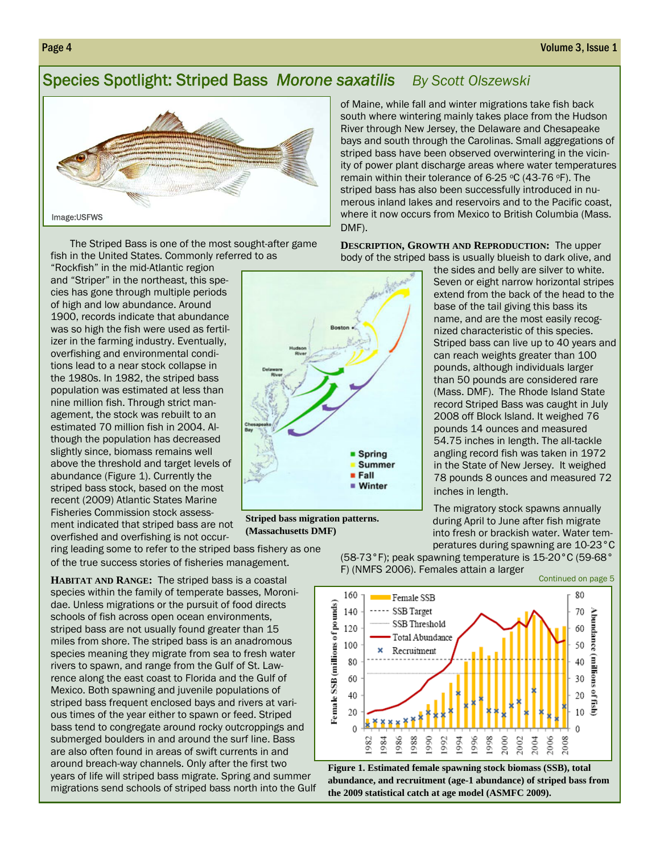#### Species Spotlight: Striped Bass *Morone saxatilis By Scott Olszewski*



The Striped Bass is one of the most sought-after game fish in the United States. Commonly referred to as

"Rockfish" in the mid-Atlantic region and "Striper" in the northeast, this species has gone through multiple periods of high and low abundance. Around 1900, records indicate that abundance was so high the fish were used as fertilizer in the farming industry. Eventually, overfishing and environmental conditions lead to a near stock collapse in the 1980s. In 1982, the striped bass population was estimated at less than nine million fish. Through strict management, the stock was rebuilt to an estimated 70 million fish in 2004. Although the population has decreased slightly since, biomass remains well above the threshold and target levels of abundance (Figure 1). Currently the striped bass stock, based on the most recent (2009) Atlantic States Marine Fisheries Commission stock assessment indicated that striped bass are not overfished and overfishing is not occur-

**Spring Summer E** Fall ■ Winter

**Striped bass migration patterns. (Massachusetts DMF)** 

of Maine, while fall and winter migrations take fish back south where wintering mainly takes place from the Hudson River through New Jersey, the Delaware and Chesapeake bays and south through the Carolinas. Small aggregations of striped bass have been observed overwintering in the vicinity of power plant discharge areas where water temperatures remain within their tolerance of 6-25 °C (43-76 °F). The striped bass has also been successfully introduced in numerous inland lakes and reservoirs and to the Pacific coast, where it now occurs from Mexico to British Columbia (Mass. DMF).

**DESCRIPTION, GROWTH AND REPRODUCTION:** The upper body of the striped bass is usually blueish to dark olive, and

> the sides and belly are silver to white. Seven or eight narrow horizontal stripes extend from the back of the head to the base of the tail giving this bass its name, and are the most easily recognized characteristic of this species. Striped bass can live up to 40 years and can reach weights greater than 100 pounds, although individuals larger than 50 pounds are considered rare (Mass. DMF). The Rhode Island State record Striped Bass was caught in July 2008 off Block Island. It weighed 76 pounds 14 ounces and measured 54.75 inches in length. The all-tackle angling record fish was taken in 1972 in the State of New Jersey. It weighed 78 pounds 8 ounces and measured 72 inches in length.

The migratory stock spawns annually during April to June after fish migrate into fresh or brackish water. Water temperatures during spawning are 10-23°C

ring leading some to refer to the striped bass fishery as one of the true success stories of fisheries management.

**HABITAT AND RANGE:** The striped bass is a coastal species within the family of temperate basses, Moronidae. Unless migrations or the pursuit of food directs schools of fish across open ocean environments, striped bass are not usually found greater than 15 miles from shore. The striped bass is an anadromous species meaning they migrate from sea to fresh water rivers to spawn, and range from the Gulf of St. Lawrence along the east coast to Florida and the Gulf of Mexico. Both spawning and juvenile populations of striped bass frequent enclosed bays and rivers at various times of the year either to spawn or feed. Striped bass tend to congregate around rocky outcroppings and submerged boulders in and around the surf line. Bass are also often found in areas of swift currents in and around breach-way channels. Only after the first two years of life will striped bass migrate. Spring and summer migrations send schools of striped bass north into the Gulf (58-73°F); peak spawning temperature is 15-20°C (59-68° F) (NMFS 2006). Females attain a larger



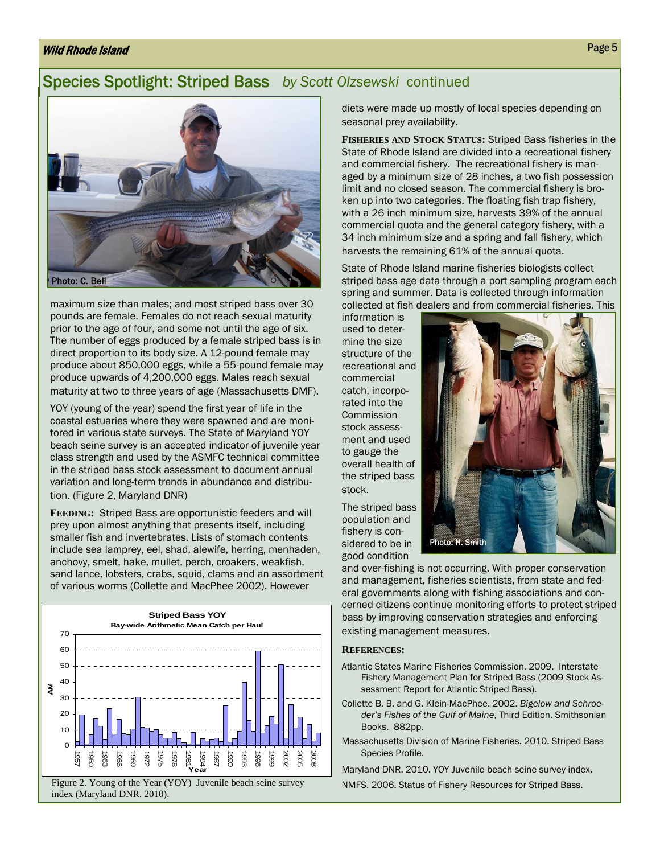#### Wild Rhode Island Page 5 (1996) and the second control of the second control of the second page 5 (1996) and the second page 5 (1996) and the second control of the second control of the second control of the second control

#### Species Spotlight: Striped Bass *by Scott Olzsewski* continued



maximum size than males; and most striped bass over 30 pounds are female. Females do not reach sexual maturity prior to the age of four, and some not until the age of six. The number of eggs produced by a female striped bass is in direct proportion to its body size. A 12-pound female may produce about 850,000 eggs, while a 55-pound female may produce upwards of 4,200,000 eggs. Males reach sexual maturity at two to three years of age (Massachusetts DMF).

YOY (young of the year) spend the first year of life in the coastal estuaries where they were spawned and are monitored in various state surveys. The State of Maryland YOY beach seine survey is an accepted indicator of juvenile year class strength and used by the ASMFC technical committee in the striped bass stock assessment to document annual variation and long-term trends in abundance and distribution. (Figure 2, Maryland DNR)

**FEEDING:** Striped Bass are opportunistic feeders and will prey upon almost anything that presents itself, including smaller fish and invertebrates. Lists of stomach contents include sea lamprey, eel, shad, alewife, herring, menhaden, anchovy, smelt, hake, mullet, perch, croakers, weakfish, sand lance, lobsters, crabs, squid, clams and an assortment of various worms (Collette and MacPhee 2002). However



diets were made up mostly of local species depending on seasonal prey availability.

**FISHERIES AND STOCK STATUS:** Striped Bass fisheries in the State of Rhode Island are divided into a recreational fishery and commercial fishery. The recreational fishery is managed by a minimum size of 28 inches, a two fish possession limit and no closed season. The commercial fishery is broken up into two categories. The floating fish trap fishery, with a 26 inch minimum size, harvests 39% of the annual commercial quota and the general category fishery, with a 34 inch minimum size and a spring and fall fishery, which harvests the remaining 61% of the annual quota.

State of Rhode Island marine fisheries biologists collect striped bass age data through a port sampling program each spring and summer. Data is collected through information collected at fish dealers and from commercial fisheries. This

information is used to determine the size structure of the recreational and commercial catch, incorporated into the Commission stock assessment and used to gauge the overall health of the striped bass stock.

The striped bass population and fishery is considered to be in good condition



and over-fishing is not occurring. With proper conservation and management, fisheries scientists, from state and federal governments along with fishing associations and concerned citizens continue monitoring efforts to protect striped bass by improving conservation strategies and enforcing existing management measures.

#### **REFERENCES:**

- Atlantic States Marine Fisheries Commission. 2009. Interstate Fishery Management Plan for Striped Bass (2009 Stock Assessment Report for Atlantic Striped Bass).
- Collette B. B. and G. Klein-MacPhee. 2002. *Bigelow and Schroeder's Fishes of the Gulf of Maine*, Third Edition. Smithsonian Books. 882pp.
- Massachusetts Division of Marine Fisheries. 2010. Striped Bass Species Profile.

Maryland DNR. 2010. YOY Juvenile beach seine survey index.

NMFS. 2006. Status of Fishery Resources for Striped Bass.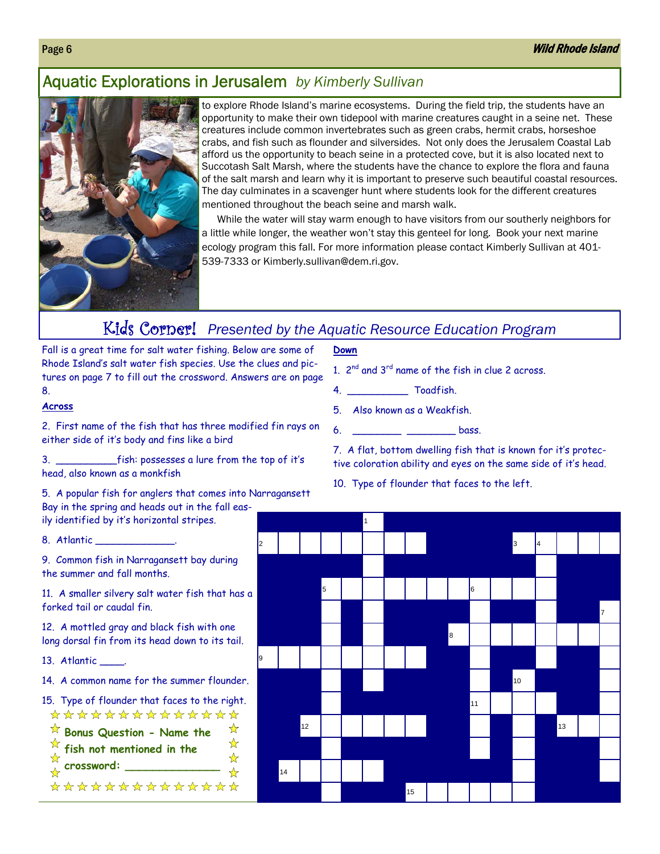#### Aquatic Explorations in Jerusalem *by Kimberly Sullivan*



to explore Rhode Island's marine ecosystems. During the field trip, the students have an opportunity to make their own tidepool with marine creatures caught in a seine net. These creatures include common invertebrates such as green crabs, hermit crabs, horseshoe crabs, and fish such as flounder and silversides. Not only does the Jerusalem Coastal Lab afford us the opportunity to beach seine in a protected cove, but it is also located next to Succotash Salt Marsh, where the students have the chance to explore the flora and fauna of the salt marsh and learn why it is important to preserve such beautiful coastal resources. The day culminates in a scavenger hunt where students look for the different creatures mentioned throughout the beach seine and marsh walk.

While the water will stay warm enough to have visitors from our southerly neighbors for a little while longer, the weather won't stay this genteel for long. Book your next marine ecology program this fall. For more information please contact Kimberly Sullivan at 401- 539-7333 or Kimberly.sullivan@dem.ri.gov.

### Kids Corner! *Presented by the Aquatic Resource Education Program*

Fall is a great time for salt water fishing. Below are some of Rhode Island's salt water fish species. Use the clues and pictures on page 7 to fill out the crossword. Answers are on page 8.

#### **Across**

2. First name of the fish that has three modified fin rays on either side of it's body and fins like a bird

3. \_\_\_\_\_\_\_\_\_\_fish: possesses a lure from the top of it's head, also known as a monkfish

5. A popular fish for anglers that comes into Narragansett Bay in the spring and heads out in the fall easily identified by it's horizontal stripes.

8. Atlantic \_\_\_\_

9. Common fish in Narragansett bay during the summer and fall months.

11. A smaller silvery salt water fish that has a forked tail or caudal fin.

12. A mottled gray and black fish with one long dorsal fin from its head down to its tail.

13. Atlantic \_\_\_\_.

14. A common name for the summer flounder.

15. Type of flounder that faces to the right. \*\*\*\*\*\*\*\*\*\*\*\*\*\*

- **Bonus Question Name the**  ☆
- **fish not mentioned in the**
- **crossword: \_\_\_\_\_\_\_\_\_\_\_\_\_\_**

\*\*\*\*\*\*\*\*\*\*\*\*\*\*

☆ ☆

#### **Down**

- 1. 2<sup>nd</sup> and 3<sup>rd</sup> name of the fish in clue 2 across.
- 4. \_\_\_\_\_\_\_\_\_\_ Toadfish.
- 5. Also known as a Weakfish.
- 6. \_\_\_\_\_\_\_\_\_\_ \_\_\_\_\_\_\_\_ bass.

7. A flat, bottom dwelling fish that is known for it's protective coloration ability and eyes on the same side of it's head.

10. Type of flounder that faces to the left.

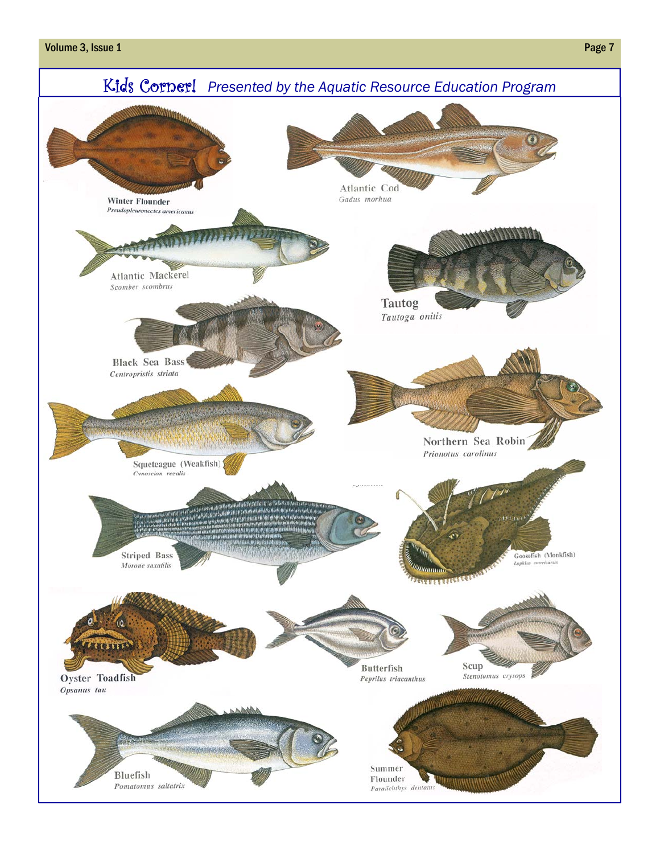